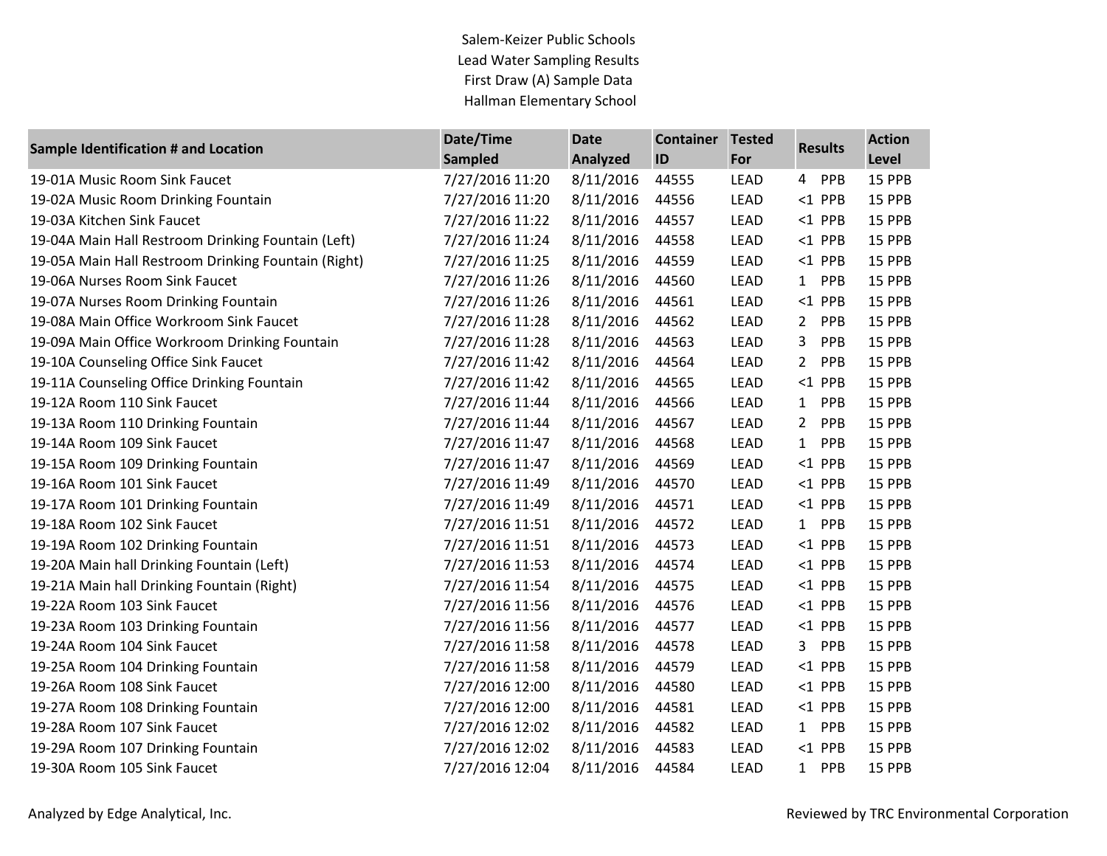Salem-Keizer Public Schools Lead Water Sampling Results First Draw (A) Sample Data Hallman Elementary School

| <b>Sample Identification # and Location</b>         | Date/Time       | <b>Date</b> | <b>Container</b> | <b>Tested</b> | <b>Results</b>               | <b>Action</b> |
|-----------------------------------------------------|-----------------|-------------|------------------|---------------|------------------------------|---------------|
|                                                     | <b>Sampled</b>  | Analyzed    | ID               | For           |                              | Level         |
| 19-01A Music Room Sink Faucet                       | 7/27/2016 11:20 | 8/11/2016   | 44555            | <b>LEAD</b>   | 4 PPB                        | 15 PPB        |
| 19-02A Music Room Drinking Fountain                 | 7/27/2016 11:20 | 8/11/2016   | 44556            | LEAD          | $<$ 1 PPB                    | 15 PPB        |
| 19-03A Kitchen Sink Faucet                          | 7/27/2016 11:22 | 8/11/2016   | 44557            | LEAD          | $<$ 1 PPB                    | 15 PPB        |
| 19-04A Main Hall Restroom Drinking Fountain (Left)  | 7/27/2016 11:24 | 8/11/2016   | 44558            | LEAD          | $<$ 1 PPB                    | 15 PPB        |
| 19-05A Main Hall Restroom Drinking Fountain (Right) | 7/27/2016 11:25 | 8/11/2016   | 44559            | LEAD          | $<$ 1 PPB                    | 15 PPB        |
| 19-06A Nurses Room Sink Faucet                      | 7/27/2016 11:26 | 8/11/2016   | 44560            | LEAD          | 1 PPB                        | 15 PPB        |
| 19-07A Nurses Room Drinking Fountain                | 7/27/2016 11:26 | 8/11/2016   | 44561            | LEAD          | $<$ 1 PPB                    | 15 PPB        |
| 19-08A Main Office Workroom Sink Faucet             | 7/27/2016 11:28 | 8/11/2016   | 44562            | LEAD          | PPB<br>$2^{\circ}$           | 15 PPB        |
| 19-09A Main Office Workroom Drinking Fountain       | 7/27/2016 11:28 | 8/11/2016   | 44563            | LEAD          | PPB<br>3                     | 15 PPB        |
| 19-10A Counseling Office Sink Faucet                | 7/27/2016 11:42 | 8/11/2016   | 44564            | LEAD          | $2^{\circ}$<br>PPB           | 15 PPB        |
| 19-11A Counseling Office Drinking Fountain          | 7/27/2016 11:42 | 8/11/2016   | 44565            | LEAD          | $<$ 1 PPB                    | 15 PPB        |
| 19-12A Room 110 Sink Faucet                         | 7/27/2016 11:44 | 8/11/2016   | 44566            | LEAD          | PPB<br>1                     | 15 PPB        |
| 19-13A Room 110 Drinking Fountain                   | 7/27/2016 11:44 | 8/11/2016   | 44567            | LEAD          | $\overline{2}$<br><b>PPB</b> | 15 PPB        |
| 19-14A Room 109 Sink Faucet                         | 7/27/2016 11:47 | 8/11/2016   | 44568            | LEAD          | PPB<br>$\mathbf{1}$          | 15 PPB        |
| 19-15A Room 109 Drinking Fountain                   | 7/27/2016 11:47 | 8/11/2016   | 44569            | <b>LEAD</b>   | $<$ 1 PPB                    | 15 PPB        |
| 19-16A Room 101 Sink Faucet                         | 7/27/2016 11:49 | 8/11/2016   | 44570            | <b>LEAD</b>   | $<$ 1 PPB                    | 15 PPB        |
| 19-17A Room 101 Drinking Fountain                   | 7/27/2016 11:49 | 8/11/2016   | 44571            | <b>LEAD</b>   | $<$ 1 PPB                    | 15 PPB        |
| 19-18A Room 102 Sink Faucet                         | 7/27/2016 11:51 | 8/11/2016   | 44572            | LEAD          | PPB<br>1                     | 15 PPB        |
| 19-19A Room 102 Drinking Fountain                   | 7/27/2016 11:51 | 8/11/2016   | 44573            | LEAD          | $<$ 1 PPB                    | 15 PPB        |
| 19-20A Main hall Drinking Fountain (Left)           | 7/27/2016 11:53 | 8/11/2016   | 44574            | LEAD          | $<$ 1 PPB                    | 15 PPB        |
| 19-21A Main hall Drinking Fountain (Right)          | 7/27/2016 11:54 | 8/11/2016   | 44575            | <b>LEAD</b>   | $<$ 1 PPB                    | 15 PPB        |
| 19-22A Room 103 Sink Faucet                         | 7/27/2016 11:56 | 8/11/2016   | 44576            | LEAD          | $<$ 1 PPB                    | 15 PPB        |
| 19-23A Room 103 Drinking Fountain                   | 7/27/2016 11:56 | 8/11/2016   | 44577            | LEAD          | $<$ 1 PPB                    | 15 PPB        |
| 19-24A Room 104 Sink Faucet                         | 7/27/2016 11:58 | 8/11/2016   | 44578            | LEAD          | PPB<br>$\mathbf{3}$          | 15 PPB        |
| 19-25A Room 104 Drinking Fountain                   | 7/27/2016 11:58 | 8/11/2016   | 44579            | LEAD          | $<$ 1 PPB                    | 15 PPB        |
| 19-26A Room 108 Sink Faucet                         | 7/27/2016 12:00 | 8/11/2016   | 44580            | LEAD          | $<$ 1 PPB                    | 15 PPB        |
| 19-27A Room 108 Drinking Fountain                   | 7/27/2016 12:00 | 8/11/2016   | 44581            | <b>LEAD</b>   | $<$ 1 PPB                    | 15 PPB        |
| 19-28A Room 107 Sink Faucet                         | 7/27/2016 12:02 | 8/11/2016   | 44582            | LEAD          | 1 PPB                        | 15 PPB        |
| 19-29A Room 107 Drinking Fountain                   | 7/27/2016 12:02 | 8/11/2016   | 44583            | <b>LEAD</b>   | $<$ 1 PPB                    | 15 PPB        |
| 19-30A Room 105 Sink Faucet                         | 7/27/2016 12:04 | 8/11/2016   | 44584            | <b>LEAD</b>   | PPB<br>1                     | 15 PPB        |